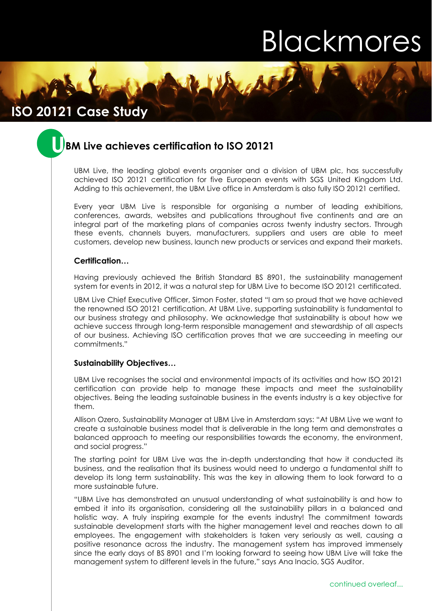# Blackmores

## **Case Study ISO 20121 Case Study**

## **U BM Live achieves certification to ISO 20121**

UBM Live, the leading global events organiser and a division of UBM plc, has successfully achieved ISO 20121 certification for five European events with SGS United Kingdom Ltd. Adding to this achievement, the UBM Live office in Amsterdam is also fully ISO 20121 certified.

Every year UBM Live is responsible for organising a number of leading exhibitions, conferences, awards, websites and publications throughout five continents and are an integral part of the marketing plans of companies across twenty industry sectors. Through these events, channels buyers, manufacturers, suppliers and users are able to meet customers, develop new business, launch new products or services and expand their markets.

### **Certification…**

Having previously achieved the British Standard BS 8901, the sustainability management system for events in 2012, it was a natural step for UBM Live to become ISO 20121 certificated.

UBM Live Chief Executive Officer, Simon Foster, stated "I am so proud that we have achieved the renowned ISO 20121 certification. At UBM Live, supporting sustainability is fundamental to our business strategy and philosophy. We acknowledge that sustainability is about how we achieve success through long-term responsible management and stewardship of all aspects of our business. Achieving ISO certification proves that we are succeeding in meeting our commitments."

#### **Sustainability Objectives…**

UBM Live recognises the social and environmental impacts of its activities and how ISO 20121 certification can provide help to manage these impacts and meet the sustainability objectives. Being the leading sustainable business in the events industry is a key objective for them.

Allison Ozero, Sustainability Manager at UBM Live in Amsterdam says: "At UBM Live we want to create a sustainable business model that is deliverable in the long term and demonstrates a balanced approach to meeting our responsibilities towards the economy, the environment, and social progress."

The starting point for UBM Live was the in-depth understanding that how it conducted its business, and the realisation that its business would need to undergo a fundamental shift to develop its long term sustainability. This was the key in allowing them to look forward to a more sustainable future.

"UBM Live has demonstrated an unusual understanding of what sustainability is and how to embed it into its organisation, considering all the sustainability pillars in a balanced and holistic way. A truly inspiring example for the events industry! The commitment towards sustainable development starts with the higher management level and reaches down to all employees. The engagement with stakeholders is taken very seriously as well, causing a positive resonance across the industry. The management system has improved immensely since the early days of BS 8901 and I'm looking forward to seeing how UBM Live will take the management system to different levels in the future," says Ana Inacio, SGS Auditor.